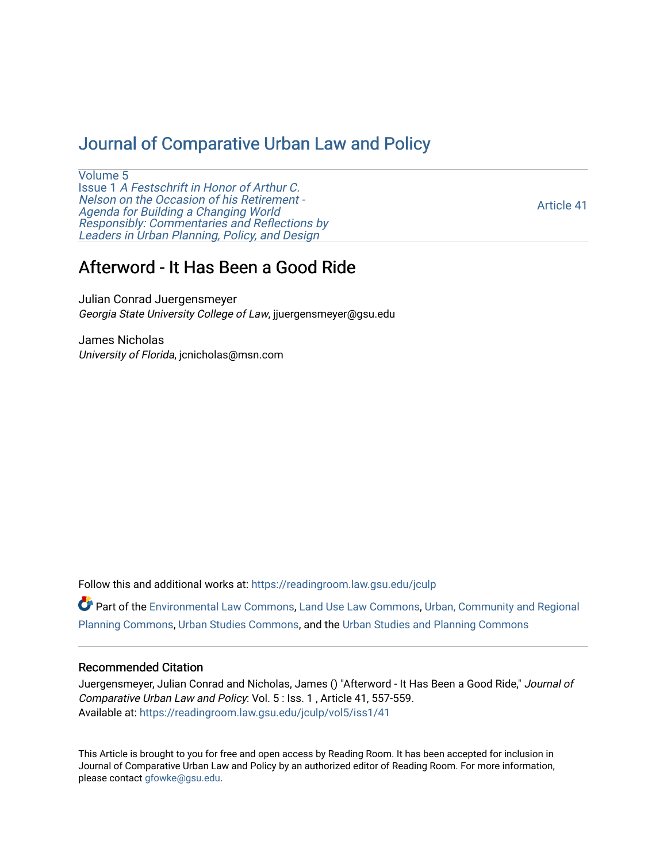## [Journal of Comparative Urban Law and Policy](https://readingroom.law.gsu.edu/jculp)

[Volume 5](https://readingroom.law.gsu.edu/jculp/vol5) Issue 1 [A Festschrift in Honor of Arthur C.](https://readingroom.law.gsu.edu/jculp/vol5/iss1) [Nelson on the Occasion of his Retirement -](https://readingroom.law.gsu.edu/jculp/vol5/iss1)  [Agenda for Building a Changing World](https://readingroom.law.gsu.edu/jculp/vol5/iss1)  [Responsibly: Commentaries and Reflections by](https://readingroom.law.gsu.edu/jculp/vol5/iss1) [Leaders in Urban Planning, Policy, and Design](https://readingroom.law.gsu.edu/jculp/vol5/iss1) 

[Article 41](https://readingroom.law.gsu.edu/jculp/vol5/iss1/41) 

# Afterword - It Has Been a Good Ride

Julian Conrad Juergensmeyer Georgia State University College of Law, jjuergensmeyer@gsu.edu

James Nicholas University of Florida, jcnicholas@msn.com

Follow this and additional works at: [https://readingroom.law.gsu.edu/jculp](https://readingroom.law.gsu.edu/jculp?utm_source=readingroom.law.gsu.edu%2Fjculp%2Fvol5%2Fiss1%2F41&utm_medium=PDF&utm_campaign=PDFCoverPages) 

Part of the [Environmental Law Commons](http://network.bepress.com/hgg/discipline/599?utm_source=readingroom.law.gsu.edu%2Fjculp%2Fvol5%2Fiss1%2F41&utm_medium=PDF&utm_campaign=PDFCoverPages), [Land Use Law Commons,](http://network.bepress.com/hgg/discipline/852?utm_source=readingroom.law.gsu.edu%2Fjculp%2Fvol5%2Fiss1%2F41&utm_medium=PDF&utm_campaign=PDFCoverPages) [Urban, Community and Regional](http://network.bepress.com/hgg/discipline/776?utm_source=readingroom.law.gsu.edu%2Fjculp%2Fvol5%2Fiss1%2F41&utm_medium=PDF&utm_campaign=PDFCoverPages) [Planning Commons](http://network.bepress.com/hgg/discipline/776?utm_source=readingroom.law.gsu.edu%2Fjculp%2Fvol5%2Fiss1%2F41&utm_medium=PDF&utm_campaign=PDFCoverPages), [Urban Studies Commons,](http://network.bepress.com/hgg/discipline/402?utm_source=readingroom.law.gsu.edu%2Fjculp%2Fvol5%2Fiss1%2F41&utm_medium=PDF&utm_campaign=PDFCoverPages) and the [Urban Studies and Planning Commons](http://network.bepress.com/hgg/discipline/436?utm_source=readingroom.law.gsu.edu%2Fjculp%2Fvol5%2Fiss1%2F41&utm_medium=PDF&utm_campaign=PDFCoverPages) 

#### Recommended Citation

Juergensmeyer, Julian Conrad and Nicholas, James () "Afterword - It Has Been a Good Ride," Journal of Comparative Urban Law and Policy: Vol. 5 : Iss. 1 , Article 41, 557-559. Available at: [https://readingroom.law.gsu.edu/jculp/vol5/iss1/41](https://readingroom.law.gsu.edu/jculp/vol5/iss1/41?utm_source=readingroom.law.gsu.edu%2Fjculp%2Fvol5%2Fiss1%2F41&utm_medium=PDF&utm_campaign=PDFCoverPages)

This Article is brought to you for free and open access by Reading Room. It has been accepted for inclusion in Journal of Comparative Urban Law and Policy by an authorized editor of Reading Room. For more information, please contact [gfowke@gsu.edu](mailto:gfowke@gsu.edu).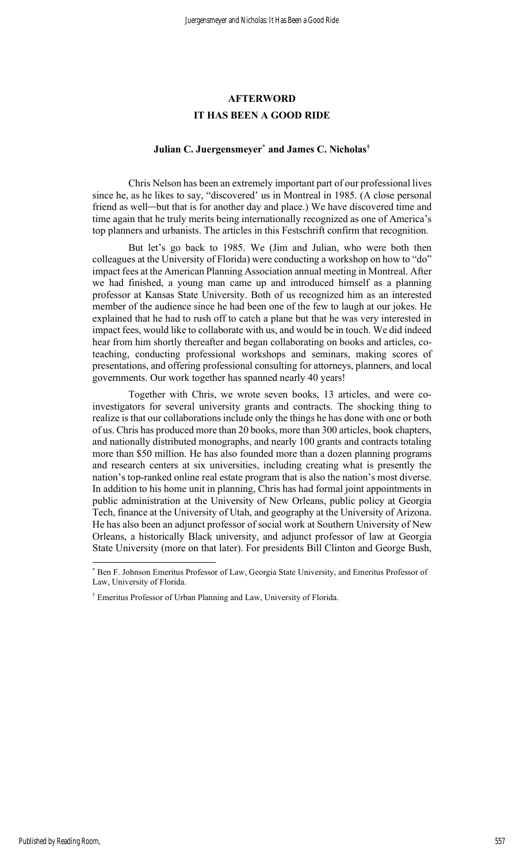### **AFTERWORD** IT HAS BEEN A GOOD RIDE

#### Julian C. Juergensmeyer\* and James C. Nicholas†

 Chris Nelson has been an extremely important part of our professional lives since he, as he likes to say, "discovered' us in Montreal in 1985. (A close personal friend as well—but that is for another day and place.) We have discovered time and time again that he truly merits being internationally recognized as one of America's top planners and urbanists. The articles in this Festschrift confirm that recognition.

 But let's go back to 1985. We (Jim and Julian, who were both then colleagues at the University of Florida) were conducting a workshop on how to "do" impact fees at the American Planning Association annual meeting in Montreal. After we had finished, a young man came up and introduced himself as a planning professor at Kansas State University. Both of us recognized him as an interested member of the audience since he had been one of the few to laugh at our jokes. He explained that he had to rush off to catch a plane but that he was very interested in impact fees, would like to collaborate with us, and would be in touch. We did indeed hear from him shortly thereafter and began collaborating on books and articles, coteaching, conducting professional workshops and seminars, making scores of presentations, and offering professional consulting for attorneys, planners, and local governments. Our work together has spanned nearly 40 years!

 Together with Chris, we wrote seven books, 13 articles, and were coinvestigators for several university grants and contracts. The shocking thing to realize is that our collaborations include only the things he has done with one or both of us. Chris has produced more than 20 books, more than 300 articles, book chapters, and nationally distributed monographs, and nearly 100 grants and contracts totaling more than \$50 million. He has also founded more than a dozen planning programs and research centers at six universities, including creating what is presently the nation's top-ranked online real estate program that is also the nation's most diverse. In addition to his home unit in planning, Chris has had formal joint appointments in public administration at the University of New Orleans, public policy at Georgia Tech, finance at the University of Utah, and geography at the University of Arizona. He has also been an adjunct professor of social work at Southern University of New Orleans, a historically Black university, and adjunct professor of law at Georgia State University (more on that later). For presidents Bill Clinton and George Bush,

<sup>\*</sup> Ben F. Johnson Emeritus Professor of Law, Georgia State University, and Emeritus Professor of Law, University of Florida.

<sup>†</sup> Emeritus Professor of Urban Planning and Law, University of Florida.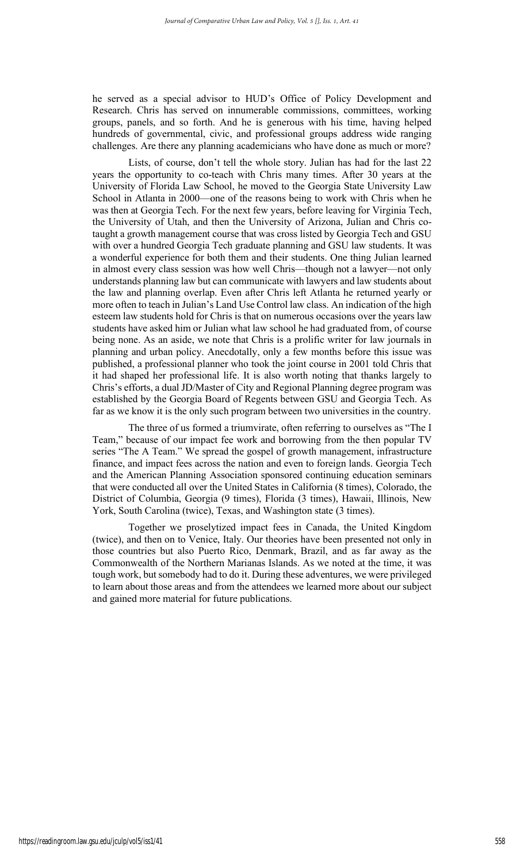he served as a special advisor to HUD's Office of Policy Development and Research. Chris has served on innumerable commissions, committees, working groups, panels, and so forth. And he is generous with his time, having helped hundreds of governmental, civic, and professional groups address wide ranging challenges. Are there any planning academicians who have done as much or more?

 Lists, of course, don't tell the whole story. Julian has had for the last 22 years the opportunity to co-teach with Chris many times. After 30 years at the University of Florida Law School, he moved to the Georgia State University Law School in Atlanta in 2000—one of the reasons being to work with Chris when he was then at Georgia Tech. For the next few years, before leaving for Virginia Tech, the University of Utah, and then the University of Arizona, Julian and Chris cotaught a growth management course that was cross listed by Georgia Tech and GSU with over a hundred Georgia Tech graduate planning and GSU law students. It was a wonderful experience for both them and their students. One thing Julian learned in almost every class session was how well Chris—though not a lawyer—not only understands planning law but can communicate with lawyers and law students about the law and planning overlap. Even after Chris left Atlanta he returned yearly or more often to teach in Julian's Land Use Control law class. An indication of the high esteem law students hold for Chris is that on numerous occasions over the years law students have asked him or Julian what law school he had graduated from, of course being none. As an aside, we note that Chris is a prolific writer for law journals in planning and urban policy. Anecdotally, only a few months before this issue was published, a professional planner who took the joint course in 2001 told Chris that it had shaped her professional life. It is also worth noting that thanks largely to Chris's efforts, a dual JD/Master of City and Regional Planning degree program was established by the Georgia Board of Regents between GSU and Georgia Tech. As far as we know it is the only such program between two universities in the country.

 The three of us formed a triumvirate, often referring to ourselves as "The I Team," because of our impact fee work and borrowing from the then popular TV series "The A Team." We spread the gospel of growth management, infrastructure finance, and impact fees across the nation and even to foreign lands. Georgia Tech and the American Planning Association sponsored continuing education seminars that were conducted all over the United States in California (8 times), Colorado, the District of Columbia, Georgia (9 times), Florida (3 times), Hawaii, Illinois, New York, South Carolina (twice), Texas, and Washington state (3 times).

 Together we proselytized impact fees in Canada, the United Kingdom (twice), and then on to Venice, Italy. Our theories have been presented not only in those countries but also Puerto Rico, Denmark, Brazil, and as far away as the Commonwealth of the Northern Marianas Islands. As we noted at the time, it was tough work, but somebody had to do it. During these adventures, we were privileged to learn about those areas and from the attendees we learned more about our subject and gained more material for future publications.